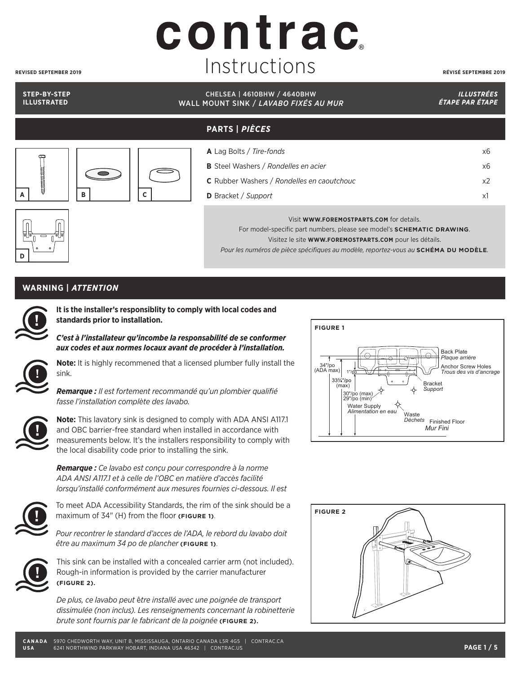## contrac Instructions **REVISED SEPTEMBER 2019 RÉVISÉ SEPTEMBRE 2019**

#### **STEP-BY-STEP ILLUSTRATED**

#### CHELSEA | 4610BHW / 4640BHW WALL MOUNT SINK / *LAVABO FIXÉS AU MUR*

*ILLUSTRÉES ÉTAPE PAR ÉTAPE* 

## **PARTS |** *PIÈCES*



| <b>A</b> Lag Bolts / Tire-fonds                   | х6 |
|---------------------------------------------------|----|
| <b>B</b> Steel Washers / Rondelles en acier       | х6 |
| <b>C</b> Rubber Washers / Rondelles en caoutchouc | x2 |
| <b>D</b> Bracket / Support                        | x1 |
|                                                   |    |

Visit **WWW.FOREMOSTPARTS.COM** for details.

For model-specific part numbers, please see model's **SCHEMATIC DRAWING**. Visitez le site **WWW.FOREMOSTPARTS.COM** pour les détails. *Pour les numéros de pièce spécifiques au modèle, reportez-vous au* **SCHÉMA DU MODÈLE***.*

#### **WARNING |** *ATTENTION*



**D**

**It is the installer's responsiblity to comply with local codes and standards prior to installation.**

*C'est à l'installateur qu'incombe la responsabilité de se conformer aux codes et aux normes locaux avant de procéder à l'installation.*



**Note:** It is highly recommened that a licensed plumber fully install the sink.



**Note:** This lavatory sink is designed to comply with ADA ANSI A117.1 and OBC barrier-free standard when installed in accordance with

*Remarque : Il est fortement recommandé qu'un plombier qualifié* 



*fasse l'installation complète des lavabo.*

*Remarque : Ce lavabo est conçu pour correspondre à la norme ADA ANSI A117.1 et à celle de l'OBC en matière d'accès facilité lorsqu'installé conformément aux mesures fournies ci-dessous. Il est* 



To meet ADA Accessibility Standards, the rim of the sink should be a maximum of 34" (H) from the floor **(FIGURE 1)**.

*Pour recontrer le standard d'acces de l'ADA, le rebord du lavabo doit être au maximum 34 po de plancher* **(FIGURE 1)**.



This sink can be installed with a concealed carrier arm (not included). Rough-in information is provided by the carrier manufacturer **(FIGURE 2).**

*De plus, ce lavabo peut* ê*tre installé avec une poignée de transport dissimulée (non inclus). Les renseignements concernant la robinetterie brute sont fournis par le fabricant de la poignée* **(FIGURE 2).**



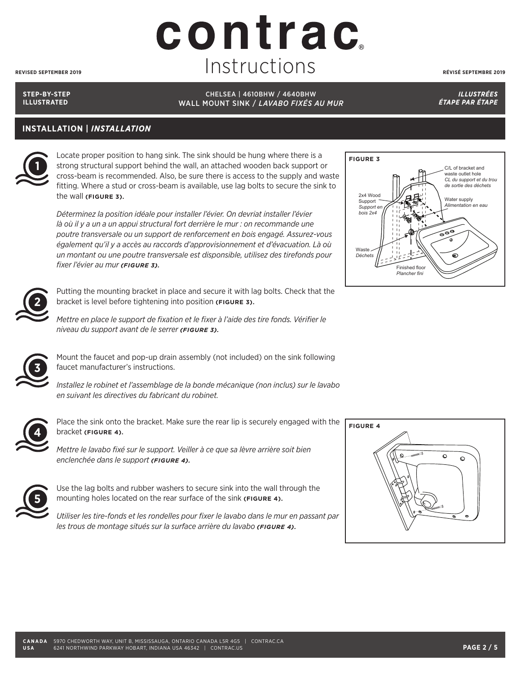## contrac Instructions **REVISED SEPTEMBER 2019 RÉVISÉ SEPTEMBRE 2019**

**STEP-BY-STEP ILLUSTRATED**

CHELSEA | 4610BHW / 4640BHW WALL MOUNT SINK / *LAVABO FIXÉS AU MUR*

*ILLUSTRÉES ÉTAPE PAR ÉTAPE* 

### **INSTALLATION |** *INSTALLATION*



Locate proper position to hang sink. The sink should be hung where there is a strong structural support behind the wall, an attached wooden back support or cross-beam is recommended. Also, be sure there is access to the supply and waste fitting. Where a stud or cross-beam is available, use lag bolts to secure the sink to the wall **(FIGURE 3).**

*Déterminez la position idéale pour installer l'évier. On devriat installer l'évier*  là où il y a un a un appui structural fort derrière le mur : on recommande une *poutre transversale ou un support de renforcement en bois engagé. Assurez-vous également qu'il y a accès au raccords d'approvisionnement et d'évacuation. Là où un montant ou une poutre transversale est disponsible, utilisez des tirefonds pour fixer l'évier au mur (FIGURE 3).*



Putting the mounting bracket in place and secure it with lag bolts. Check that the bracket is level before tightening into position **(FIGURE 3).**

*Mettre en place le support de fixation et le fixer à l'aide des tire fonds. Vérifier le niveau du support avant de le serrer (FIGURE 3).*



Mount the faucet and pop-up drain assembly (not included) on the sink following faucet manufacturer's instructions.

*Installez le robinet et l'assemblage de la bonde mécanique (non inclus) sur le lavabo en suivant les directives du fabricant du robinet.*



Place the sink onto the bracket. Make sure the rear lip is securely engaged with the bracket **(FIGURE 4).**

*Mettre le lavabo fixé sur le support. Veiller à ce que sa lèvre arrière soit bien enclenchée dans le support (FIGURE 4).*



Use the lag bolts and rubber washers to secure sink into the wall through the mounting holes located on the rear surface of the sink **(FIGURE 4).**

*Utiliser les tire-fonds et les rondelles pour fixer le lavabo dans le mur en passant par les trous de montage situés sur la surface arrière du lavabo (FIGURE 4).*



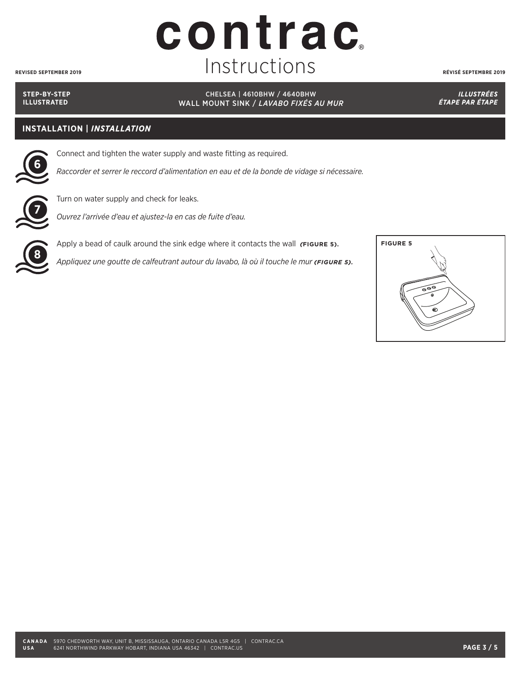#### **CANADA** 5970 CHEDWORTH WAY, UNIT B, MISSISSAUGA, ONTARIO CANADA L5R 4G5 | CONTRAC.CA **USA** 6241 NORTHWIND PARKWAY HOBART, INDIANA USA 46342 | CONTRAC.US **PAGE 3 / 5**

**STEP-BY-STEP ILLUSTRATED**

#### CHELSEA | 4610BHW / 4640BHW WALL MOUNT SINK / *LAVABO FIXÉS AU MUR*

*ILLUSTRÉES ÉTAPE PAR ÉTAPE* 

### **INSTALLATION |** *INSTALLATION*

Connect and tighten the water supply and waste fitting as required.

*Raccorder et serrer le reccord d'alimentation en eau et de la bonde de vidage si nécessaire.* **6**

**8**

Turn on water supply and check for leaks.

*Ouvrez l'arrivée d'eau et ajustez-la en cas de fuite d'eau.* **7**

Apply a bead of caulk around the sink edge where it contacts the wall *(***FIGURE 5).**

*Appliquez une goutte de calfeutrant autour du lavabo, là où il touche le mur (FIGURE 5).*





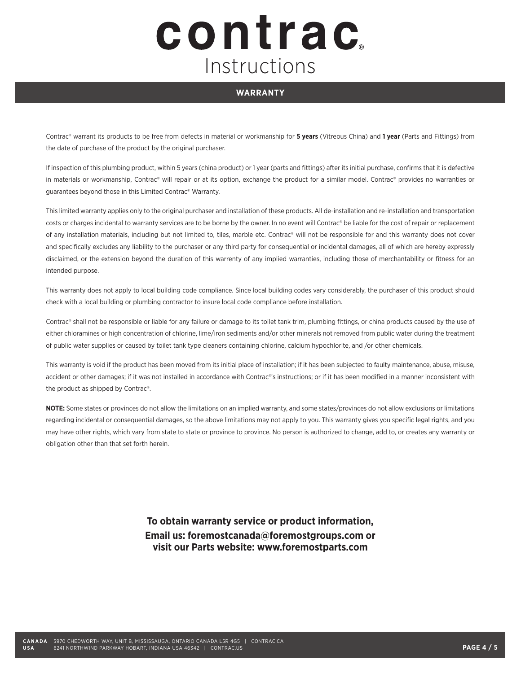# contrac Instructions

#### **WARRANTY**

Contrac® warrant its products to be free from defects in material or workmanship for **5 years** (Vitreous China) and **1 year** (Parts and Fittings) from the date of purchase of the product by the original purchaser.

If inspection of this plumbing product, within 5 years (china product) or 1 year (parts and fittings) after its initial purchase, confirms that it is defective in materials or workmanship, Contrac® will repair or at its option, exchange the product for a similar model. Contrac® provides no warranties or guarantees beyond those in this Limited Contrac® Warranty.

This limited warranty applies only to the original purchaser and installation of these products. All de-installation and re-installation and transportation costs or charges incidental to warranty services are to be borne by the owner. In no event will Contrac® be liable for the cost of repair or replacement of any installation materials, including but not limited to, tiles, marble etc. Contrac® will not be responsible for and this warranty does not cover and specifically excludes any liability to the purchaser or any third party for consequential or incidental damages, all of which are hereby expressly disclaimed, or the extension beyond the duration of this warrenty of any implied warranties, including those of merchantability or fitness for an intended purpose.

This warranty does not apply to local building code compliance. Since local building codes vary considerably, the purchaser of this product should check with a local building or plumbing contractor to insure local code compliance before installation.

Contrac® shall not be responsible or liable for any failure or damage to its toilet tank trim, plumbing fittings, or china products caused by the use of either chloramines or high concentration of chlorine, lime/iron sediments and/or other minerals not removed from public water during the treatment of public water supplies or caused by toilet tank type cleaners containing chlorine, calcium hypochlorite, and /or other chemicals.

This warranty is void if the product has been moved from its initial place of installation; if it has been subjected to faulty maintenance, abuse, misuse, accident or other damages; if it was not installed in accordance with Contrac®'s instructions; or if it has been modified in a manner inconsistent with the product as shipped by Contrac®.

**NOTE:** Some states or provinces do not allow the limitations on an implied warranty, and some states/provinces do not allow exclusions or limitations regarding incidental or consequential damages, so the above limitations may not apply to you. This warranty gives you specific legal rights, and you may have other rights, which vary from state to state or province to province. No person is authorized to change, add to, or creates any warranty or obligation other than that set forth herein.

> **To obtain warranty service or product information, Email us: foremostcanada@foremostgroups.com or visit our Parts website: www.foremostparts.com**